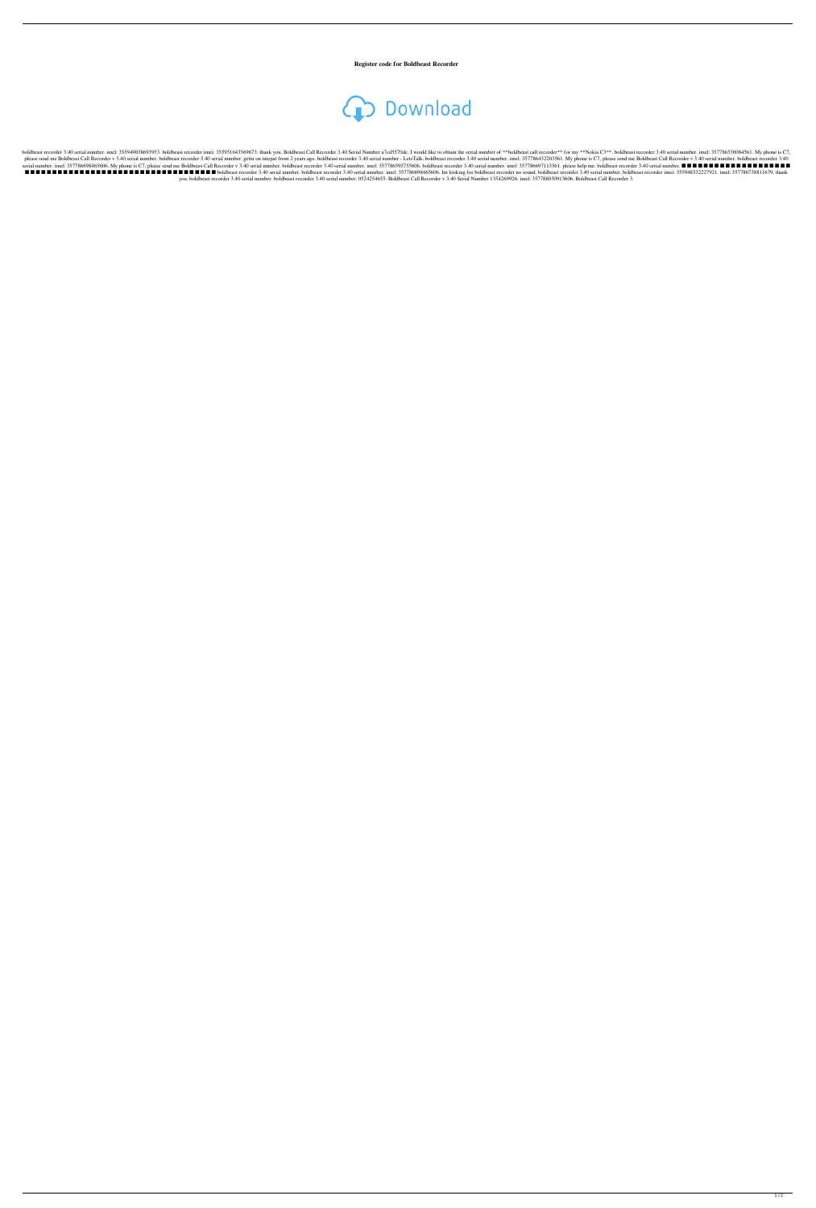**Register code for Boldbeast Recorder**

## **CD** Download

boldbeast recorder 3.40 serial number. imel: 355949038693953. boldbeast recorder imei: 355951643569673. thank you. Boldbeast Call Recorder 3.40 Serial Number a7cd5570dc. I would like to obtain the serial number of \*\*boldbe please send me Boldbeast Call Recorder v 3.40 serial number. boldbeast recorder 3.40 serial number. get in on tatepat from 2 years ago. boldbeast recorder 3.40 serial number. imel: 357786432203561. My phone is C7, please s serial number. imel: 357786698465606. My phone is C7, please send me Boldbeast Call Recorder v 3.40 serial number. boldbeast recorder 3.40 serial number. imel: 357786595755606. boldbeast recorder 3.40 serial number. imel: ■ ■ ■ ■ ■ ■ ■ ■ ■ ■ ■ ■ ■ ■ ■ ■ ■ ■ ■ ■ ■ ■ ■ ■ ■ ■ ■ ■ ■ ■ ■ ■ ■ ■ ■ boldbeast recorder 3.40 serial number. boldbeast recorder 3.40 serial number. imel: 357786698465606. Im looking for boldbeast recorder no sound. boldbeast recorder 3.40 serial number. boldbeast recorder imei: 355948532227921. imel: 357786738811679. thank you. boldbeast recorder 3.40 serial number. boldbeast recorder 3.40 serial number. 0524254655. Boldbeast Call Recorder v 3.40 Serial Number 1354269926. imel: 357788030913606. Boldbeast Call Recorder 3.